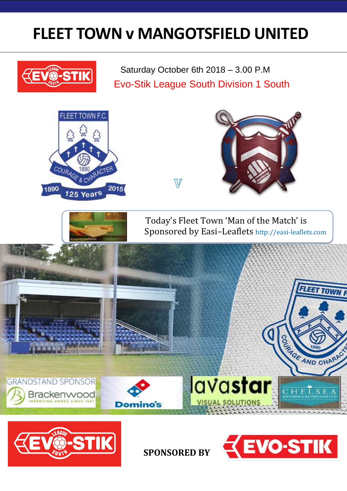## **FLEET TOWN v MANGOTSFIELD UNITED**



 Saturday October 6th 2018 – 3.00 P.M Evo-Stik League South Division 1 South





**SPONSORED BY**

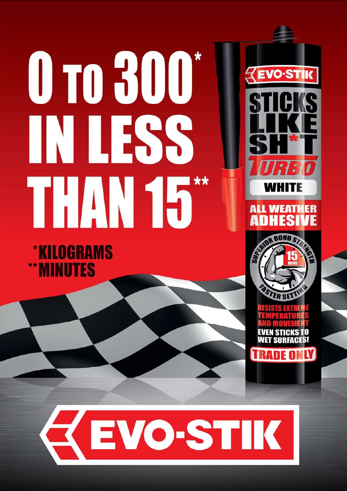# 0 10 300\* WHESS THIN 55

**KILOGRAMS MINUTES** 







FRADE OI

## **ZEVO-STIK**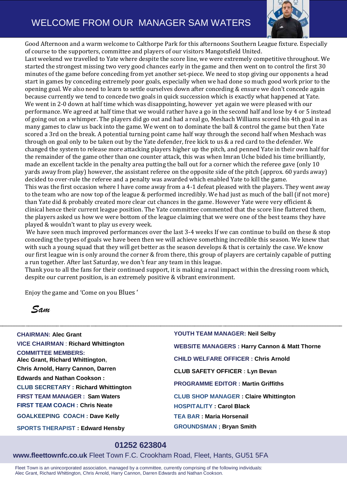#### WELCOME FROM OUR MANAGER SAM WATERS



Good Afternoon and a warm welcome to Calthorpe Park for this afternoons Southern League fixture. Especially of course to the supporters, committee and players of our visitors Mangotsfield United.

Last weekend we travelled to Yate where despite the score line, we were extremely competitive throughout. We started the strongest missing two very good chances early in the game and then went on to control the first 30 minutes of the game before conceding from yet another set-piece. We need to stop giving our opponents a head start in games by conceding extremely poor goals, especially when we had done so much good work prior to the opening goal. We also need to learn to settle ourselves down after conceding & ensure we don't concede again because currently we tend to concede two goals in quick succession which is exactly what happened at Yate. We went in 2-0 down at half time which was disappointing, however yet again we were pleased with our performance. We agreed at half time that we would rather have a go in the second half and lose by 4 or 5 instead of going out on a whimper. The players did go out and had a real go, Meshach Williams scored his 4th goal in as many games to claw us back into the game. We went on to dominate the ball & control the game but then Yate scored a 3rd on the break. A potential turning point came half way through the second half when Meshach was through on goal only to be taken out by the Yate defender, free kick to us & a red card to the defender. We changed the system to release more attacking players higher up the pitch, and penned Yate in their own half for the remainder of the game other than one counter attack, this was when Imran Uche bided his time brilliantly, made an excellent tackle in the penalty area putting the ball out for a corner which the referee gave (only 10 yards away from play) however, the assistant referee on the opposite side of the pitch (approx. 60 yards away) decided to over-rule the referee and a penalty was awarded which enabled Yate to kill the game.

This was the first occasion where I have come away from a 4-1 defeat pleased with the players. They went away to the team who are now top of the league & performed incredibly. We had just as much of the ball (if not more) than Yate did & probably created more clear cut chances in the game. However Yate were very efficient & clinical hence their current league position. The Yate committee commented that the score line flattered them, the players asked us how we were bottom of the league claiming that we were one of the best teams they have played & wouldn't want to play us every week.

We have seen much improved performances over the last 3-4 weeks If we can continue to build on these & stop conceding the types of goals we have been then we will achieve something incredible this season. We knew that with such a young squad that they will get better as the season develops & that is certainly the case. We know our first league win is only around the corner & from there, this group of players are certainly capable of putting a run together. After last Saturday, we don't fear any team in this league.

Thank you to all the fans for their continued support, it is making a real impact within the dressing room which, despite our current position, is an extremely positive & vibrant environment.

\_\_\_\_\_\_\_\_\_\_\_\_\_\_\_\_\_\_\_\_\_\_\_\_\_\_\_\_\_\_\_\_\_\_\_\_\_\_\_\_\_\_\_\_\_\_\_\_\_\_\_\_\_\_\_\_\_\_\_\_\_\_\_\_\_\_\_\_\_\_\_\_\_\_\_\_\_\_\_\_\_\_\_\_\_\_\_\_\_\_\_\_\_\_\_\_\_\_\_\_\_\_\_\_\_\_\_\_\_\_\_\_\_\_\_\_\_\_\_\_\_\_\_\_\_\_\_\_\_\_\_\_

Enjoy the game and 'Come on you Blues '

*Sam*

**CHAIRMAN: Alec Grant VICE CHAIRMAN** : **Richard Whittington COMMITTEE MEMBERS: Alec Grant, Richard Whittington, Chris Arnold, Harry Cannon, Darren Edwards and Nathan Cookson : CLUB SECRETARY : Richard Whittington FIRST TEAM MANAGER : Sam Waters FIRST TEAM COACH : Chris Neate GOALKEEPING COACH : Dave Kelly SPORTS THERAPIST : Edward Hensby**

**YOUTH TEAM MANAGER: Neil Selby WEBSITE MANAGERS : Harry Cannon & Matt Thorne CHILD WELFARE OFFICER : Chris Arnold CLUB SAFETY OFFICER : Lyn Bevan PROGRAMME EDITOR : Martin Griffiths CLUB SHOP MANAGER : Claire Whittington HOSPITALITY : Carol Black TEA BAR : Maria Horsenail GROUNDSMAN ; Bryan Smith**

#### **01252 623804**

**www.fleettownfc.co.uk** Fleet Town F.C. Crookham Road, Fleet, Hants, GU51 5FA

Fleet Town is an unincorporated association, managed by a committee, currently comprising of the following individuals: Alec Grant, Richard Whittington, Chris Arnold, Harry Cannon, Darren Edwards and Nathan Cookson.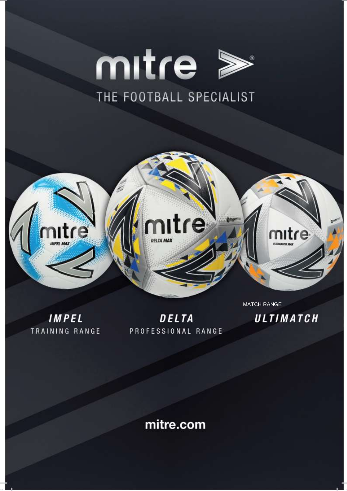



IMPEL TRAINING RANGE

DELTA PROFESSIONAL RANGE **MATCH RANGE** 

ULTIMATCH

mitre.com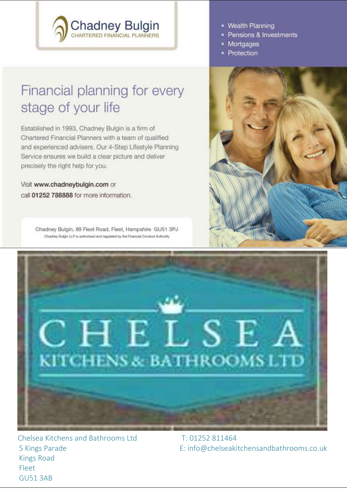## **Chadney Bulgin**<br>CHARTERED FINANCIAL PLANNERS

### Financial planning for every stage of your life

Established in 1993, Chadney Bulgin is a firm of Chartered Financial Planners with a team of qualified and experienced advisers. Our 4-Step Lifestyle Planning Service ensures we build a clear picture and deliver precisely the right help for you.

Visit www.chadneybulgin.com or call 01252 788888 for more information.

> Chadney Bulgin, 89 Fleet Road, Fleet, Hampshire GU51 3PJ Chachey Bulgin LLP is authorised and requisted by the Financial Conduct Authority

- Wealth Planning
- · Pensions & Investments
- Mortgages
- Protection





Chelsea Kitchens and Bathrooms Ltd 5 Kings Parade **Kings Road** Fleet **GU51 3AB** 

 $T: 01252811464$ E: info@chelseakitchensandbathrooms.co.uk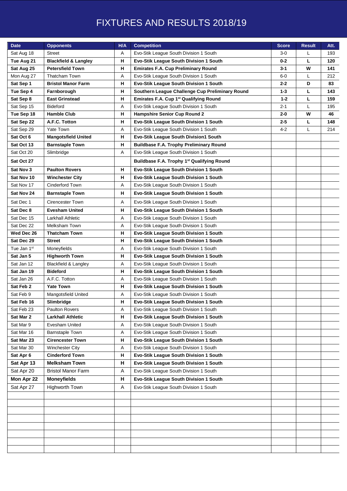#### FIXTURES AND RESULTS 2018/19

| <b>Date</b> | <b>Opponents</b>                | H/A | <b>Competition</b>                                     | <b>Score</b> | <b>Result</b> | Att. |
|-------------|---------------------------------|-----|--------------------------------------------------------|--------------|---------------|------|
| Sat Aug 18  | <b>Street</b>                   | Α   | Evo-Stik League South Division 1 South                 | $3-0$        |               | 193  |
| Tue Aug 21  | <b>Blackfield &amp; Langley</b> | н   | Evo-Stik League South Division 1 South                 | $0 - 2$      | L             | 120  |
| Sat Aug 25  | <b>Petersfield Town</b>         | н   | <b>Emirates F.A. Cup Preliminary Round</b>             | $3 - 1$      | W             | 141  |
| Mon Aug 27  | <b>Thatcham Town</b>            | Α   | Evo-Stik League South Division 1 South                 | 6-0          | L             | 212  |
| Sat Sep 1   | <b>Bristol Manor Farm</b>       | н   | Evo-Stik League South Division 1 South                 | $2 - 2$      | D             | 83   |
| Tue Sep 4   | Farnborough                     | н   | Southern League Challenge Cup Preliminary Round        | $1 - 3$      | L             | 143  |
| Sat Sep 8   | <b>East Grinstead</b>           | н   | Emirates F.A. Cup 1st Qualifying Round                 | $1 - 2$      | L             | 159  |
| Sat Sep 15  | <b>Bideford</b>                 | A   | Evo-Stik League South Division 1 South                 | $2 - 1$      | L             | 195  |
| Tue Sep 18  | <b>Hamble Club</b>              | н   | <b>Hampshire Senior Cup Round 2</b>                    | $2 - 0$      | W             | 46   |
| Sat Sep 22  | A.F.C. Totton                   | н   | Evo-Stik League South Division 1 South                 | $2 - 5$      | L             | 148  |
| Sat Sep 29  | Yate Town                       | Α   | Evo-Stik League South Division 1 South                 | $4 - 2$      | L             | 214  |
| Sat Oct 6   | <b>Mangotsfield United</b>      | н   | Evo-Stik League South Division1 South                  |              |               |      |
| Sat Oct 13  | <b>Barnstaple Town</b>          | н   | <b>Buildbase F.A. Trophy Preliminary Round</b>         |              |               |      |
| Sat Oct 20  | Slimbridge                      | Α   | Evo-Stik League South Division 1 South                 |              |               |      |
| Sat Oct 27  |                                 |     | Buildbase F.A. Trophy 1 <sup>st</sup> Qualifying Round |              |               |      |
| Sat Nov 3   | <b>Paulton Rovers</b>           | н   | Evo-Stik League South Division 1 South                 |              |               |      |
| Sat Nov 10  | <b>Winchester City</b>          | н   | Evo-Stik League South Division 1 South                 |              |               |      |
| Sat Nov 17  | Cinderford Town                 | Α   | Evo-Stik League South Division 1 South                 |              |               |      |
| Sat Nov 24  | <b>Barnstaple Town</b>          | н   | Evo-Stik League South Division 1 South                 |              |               |      |
| Sat Dec 1   | Cirencester Town                | Α   | Evo-Stik League South Division 1 South                 |              |               |      |
| Sat Dec 8   | <b>Evesham United</b>           | н   | Evo-Stik League South Division 1 South                 |              |               |      |
| Sat Dec 15  | <b>Larkhall Athletic</b>        | Α   | Evo-Stik League South Division 1 South                 |              |               |      |
| Sat Dec 22  | Melksham Town                   | Α   | Evo-Stik League South Division 1 South                 |              |               |      |
| Wed Dec 26  | <b>Thatcham Town</b>            | н   | Evo-Stik League South Division 1 South                 |              |               |      |
| Sat Dec 29  | <b>Street</b>                   | н   | Evo-Stik League South Division 1 South                 |              |               |      |
| Tue Jan 1st | Moneyfields                     | Α   | Evo-Stik League South Division 1 South                 |              |               |      |
| Sat Jan 5   | <b>Highworth Town</b>           | н   | Evo-Stik League South Division 1 South                 |              |               |      |
| Sat Jan 12  | <b>Blackfield &amp; Langley</b> | Α   | Evo-Stik League South Division 1 South                 |              |               |      |
| Sat Jan 19  | <b>Bideford</b>                 | н   | Evo-Stik League South Division 1 South                 |              |               |      |
| Sat Jan 26  | A.F.C. Totton                   | Α   | Evo-Stik League South Division 1 South                 |              |               |      |
| Sat Feb 2   | <b>Yate Town</b>                | н   | Evo-Stik League South Division 1 South                 |              |               |      |
| Sat Feb 9   | <b>Mangotsfield United</b>      | Α   | Evo-Stik League South Division 1 South                 |              |               |      |
| Sat Feb 16  | Slimbridge                      | н   | Evo-Stik League South Division 1 South                 |              |               |      |
| Sat Feb 23  | <b>Paulton Rovers</b>           | Α   | Evo-Stik League South Division 1 South                 |              |               |      |
| Sat Mar 2   | <b>Larkhall Athletic</b>        | н   | Evo-Stik League South Division 1 South                 |              |               |      |
| Sat Mar 9   | Evesham United                  | Α   | Evo-Stik League South Division 1 South                 |              |               |      |
| Sat Mar 16  | <b>Barnstaple Town</b>          | Α   | Evo-Stik League South Division 1 South                 |              |               |      |
| Sat Mar 23  | <b>Cirencester Town</b>         | н   | Evo-Stik League South Division 1 South                 |              |               |      |
| Sat Mar 30  | <b>Winchester City</b>          | Α   | Evo-Stik League South Division 1 South                 |              |               |      |
| Sat Apr 6   | <b>Cinderford Town</b>          | н   | Evo-Stik League South Division 1 South                 |              |               |      |
| Sat Apr 13  | <b>Melksham Town</b>            | н   | Evo-Stik League South Division 1 South                 |              |               |      |
| Sat Apr 20  | <b>Bristol Manor Farm</b>       | Α   | Evo-Stik League South Division 1 South                 |              |               |      |
| Mon Apr 22  | <b>Moneyfields</b>              | н   | Evo-Stik League South Division 1 South                 |              |               |      |
| Sat Apr 27  | Highworth Town                  | A   | Evo-Stik League South Division 1 South                 |              |               |      |
|             |                                 |     |                                                        |              |               |      |
|             |                                 |     |                                                        |              |               |      |
|             |                                 |     |                                                        |              |               |      |
|             |                                 |     |                                                        |              |               |      |
|             |                                 |     |                                                        |              |               |      |
|             |                                 |     |                                                        |              |               |      |
|             |                                 |     |                                                        |              |               |      |
|             |                                 |     |                                                        |              |               |      |
|             |                                 |     |                                                        |              |               |      |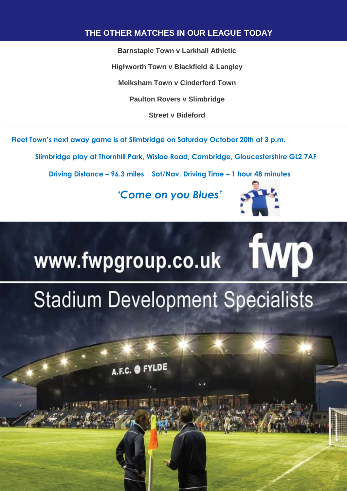#### **THE OTHER MATCHES IN OUR LEAGUE TODAY**

**Barnstaple Town v Larkhall Athletic Highworth Town v Blackfield & Langley Melksham Town v Cinderford Town Paulton Rovers v Slimbridge Street v Bideford \_\_\_\_\_\_\_\_\_\_\_\_\_\_\_\_\_\_\_\_\_\_\_\_\_\_\_\_\_\_\_\_\_\_\_\_\_\_\_\_\_\_\_\_\_\_\_\_\_\_\_\_\_\_\_\_\_\_\_\_\_\_\_\_\_\_\_\_\_\_\_\_\_\_\_\_\_\_\_\_\_\_\_\_\_\_\_\_\_**

**Fleet Town's next away game is at Slimbridge on Saturday October 20th at 3 p.m.**

 **Slimbridge play at Thornhill Park, Wisloe Road, Cambridge, Gloucestershire GL2 7AF**

 **Driving Distance – 96.3 miles Sat/Nav. Driving Time – 1 hour 48 minutes**

*'Come on you Blues'*



**WD** 

## www.fwpgroup.co.uk

## **Stadium Development Specialists**

17. **Ayles Bury United 5 1 0 2 1 0 2 1 0 2 1 0 2 1 0 2 1 0 2 1 0 2 1 0 2 1 0 2 1 0 2 1 0 2 1 0 2 1 0 2 1 0 2 1** 

18. **[Thame United](http://www.evostikleaguesouthern.co.uk/club-info/455631)** 5 0 0 2 2 0 1 2 0 3 7

19. **[Arlesey Town](http://www.evostikleaguesouthern.co.uk/club-info/455613)** 5 0 0 3 0 1 1 0 1 4 6

20. **[Aylesbury](http://www.evostikleaguesouthern.co.uk/club-info/455615)** 5 0 0 2 0 1 2 0 1 4 3

21. **[Fleet Town](http://www.evostikleaguesouthern.co.uk/club-info/455623)** 5 0 1 1 0 0 3 0 1 4 3

A.F.C. O FYLDE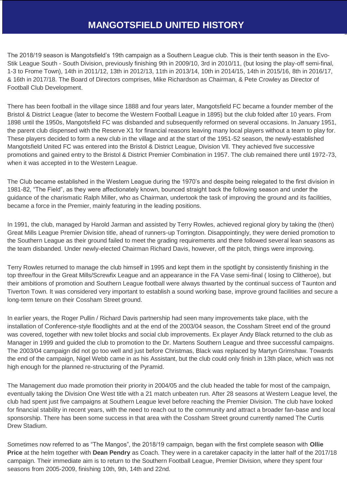#### **MANGOTSFIELD UNITED HISTORY**

The 2018/19 season is Mangotsfield's 19th campaign as a Southern League club. This is their tenth season in the Evo-Stik League South - South Division, previously finishing 9th in 2009/10, 3rd in 2010/11, (but losing the play-off semi-final, 1-3 to Frome Town), 14th in 2011/12, 13th in 2012/13, 11th in 2013/14, 10th in 2014/15, 14th in 2015/16, 8th in 2016/17, & 16th in 2017/18. The Board of Directors comprises, Mike Richardson as Chairman, & Pete Crowley as Director of Football Club Development.

There has been football in the village since 1888 and four years later, Mangotsfield FC became a founder member of the Bristol & District League (later to become the Western Football League in 1895) but the club folded after 10 years. From 1898 until the 1950s, Mangotsfield FC was disbanded and subsequently reformed on several occasions. In January 1951, the parent club dispensed with the Reserve X1 for financial reasons leaving many local players without a team to play for. These players decided to form a new club in the village and at the start of the 1951-52 season, the newly-established Mangotsfield United FC was entered into the Bristol & District League, Division Vll. They achieved five successive promotions and gained entry to the Bristol & District Premier Combination in 1957. The club remained there until 1972-73, when it was accepted in to the Western League.

The Club became established in the Western League during the 1970's and despite being relegated to the first division in 1981-82, "The Field", as they were affectionately known, bounced straight back the following season and under the guidance of the charismatic Ralph Miller, who as Chairman, undertook the task of improving the ground and its facilities, became a force in the Premier, mainly featuring in the leading positions.

In 1991, the club, managed by Harold Jarman and assisted by Terry Rowles, achieved regional glory by taking the (then) Great Mills League Premier Division title, ahead of runners-up Torrington. Disappointingly, they were denied promotion to the Southern League as their ground failed to meet the grading requirements and there followed several lean seasons as the team disbanded. Under newly-elected Chairman Richard Davis, however, off the pitch, things were improving.

Terry Rowles returned to manage the club himself in 1995 and kept them in the spotlight by consistently finishing in the top three/four in the Great Mills/Screwfix League and an appearance in the FA Vase semi-final ( losing to Clitheroe), but their ambitions of promotion and Southern League football were always thwarted by the continual success of Taunton and Tiverton Town. It was considered very important to establish a sound working base, improve ground facilities and secure a long-term tenure on their Cossham Street ground.

In earlier years, the Roger Pullin / Richard Davis partnership had seen many improvements take place, with the installation of Conference-style floodlights and at the end of the 2003/04 season, the Cossham Street end of the ground was covered, together with new toilet blocks and social club improvements. Ex player Andy Black returned to the club as Manager in 1999 and guided the club to promotion to the Dr. Martens Southern League and three successful campaigns. The 2003/04 campaign did not go too well and just before Christmas, Black was replaced by Martyn Grimshaw. Towards the end of the campaign, Nigel Webb came in as his Assistant, but the club could only finish in 13th place, which was not high enough for the planned re-structuring of the Pyramid.

The Management duo made promotion their priority in 2004/05 and the club headed the table for most of the campaign, eventually taking the Division One West title with a 21 match unbeaten run. After 28 seasons at Western League level, the club had spent just five campaigns at Southern League level before reaching the Premier Division. The club have looked for financial stability in recent years, with the need to reach out to the community and attract a broader fan-base and local sponsorship. There has been some success in that area with the Cossham Street ground currently named The Curtis Drew Stadium.

Sometimes now referred to as "The Mangos", the 2018/19 campaign, began with the first complete season with **Ollie Price** at the helm together with **Dean Pendry** as Coach. They were in a caretaker capacity in the latter half of the 2017/18 campaign. Their immediate aim is to return to the Southern Football League, Premier Division, where they spent four seasons from 2005-2009, finishing 10th, 9th, 14th and 22nd.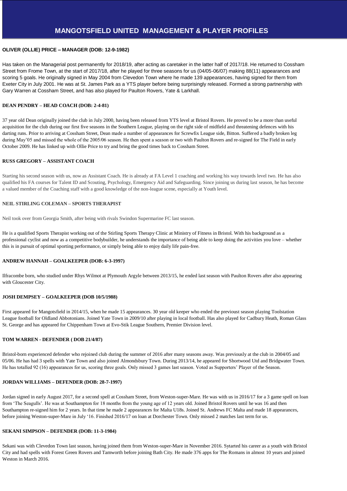#### **OLIVER (OLLIE) PRICE – MANAGER (DOB: 12-9-1982)**

Has taken on the Managerial post permanently for 2018/19, after acting as caretaker in the latter half of 2017/18. He returned to Cossham Street from Frome Town, at the start of 2017/18, after he played for three seasons for us (04/05-06/07) making 88(11) appearances and scoring 5 goals. He originally signed in May 2004 from Clevedon Town where he made 139 appearances, having signed for them from Exeter City in July 2001. He was at St. James Park as a YTS player before being surprisingly released. Formed a strong partnership with Gary Warren at Cossham Street, and has also played for Paulton Rovers, Yate & Larkhall.

#### **DEAN PENDRY – HEAD COACH (DOB: 2-4-81)**

37 year old Dean originally joined the club in July 2000, having been released from YTS level at Bristol Rovers. He proved to be a more than useful acquisition for the club during our first five seasons in the Southern League, playing on the right side of midfield and threatening defences with his darting runs. Prior to arriving at Cossham Street, Dean made a number of appearances for Screwfix League side, Bitton. Suffered a badly broken leg during May'05 and missed the whole of the 2005/06 season. He then spent a season or two with Paulton Rovers and re-signed for The Field in early October 2009. He has linked up with Ollie Price to try and bring the good times back to Cossham Street.

#### **RUSS GREGORY – ASSISTANT COACH**

Starting his second season with us, now as Assistant Coach. He is already at FA Level 1 coaching and working his way towards level two. He has also qualified his FA courses for Talent ID and Scouting, Psychology, Emergency Aid and Safeguarding. Since joining us during last season, he has become a valued member of the Coaching staff with a good knowledge of the non-league scene, especially at Youth level.

#### **NEIL STIRLING COLEMAN – SPORTS THERAPIST**

Neil took over from Georgia Smith, after being with rivals Swindon Supermarine FC last season.

He is a qualified Sports Therapist working out of the Stirling Sports Therapy Clinic at Ministry of Fitness in Bristol. With his background as a professional cyclist and now as a competitive bodybuilder, he understands the importance of being able to keep doing the activities you love – whether this is in pursuit of optimal sporting performance, or simply being able to enjoy daily life pain-free.

#### **ANDREW HANNAH – GOALKEEPER (DOB: 6-3-1997)**

Ilfracombe born, who studied under Rhys Wilmot at Plymouth Argyle between 2013/15, he ended last season with Paulton Rovers after also appearing with Gloucester City.

#### **JOSH DEMPSEY – GOALKEEPER (DOB 10/5/1988)**

First appeared for Mangotsfield in 2014/15, when he made 15 appearances. 30 year old keeper who ended the previoust season playing Toolstation League football for Oldland Abbotonians. Joined Yate Town in 2009/10 after playing in local football. Has also played for Cadbury Heath, Roman Glass St. George and has appeared for Chippenham Town at Evo-Stik League Southern, Premier Division level.

#### **TOM WARREN - DEFENDER ( DOB 21/4/87)**

Bristol-born experienced defender who rejoined club during the summer of 2016 after many seasons away. Was previously at the club in 2004/05 and 05/06. He has had 3 spells with Yate Town and also joined Almondsbury Town. During 2013/14, he appeared for Shortwood Utd and Bridgwater Town. He has totalled 92 (16) appearances for us, scoring three goals. Only missed 3 games last season. Voted as Supporters' Player of the Season.

#### **JORDAN WILLIAMS – DEFENDER (DOB: 28-7-1997)**

Jordan signed in early August 2017, for a second spell at Cossham Street, from Weston-super-Mare. He was with us in 2016/17 for a 3 game spell on loan from 'The Seagulls'. He was at Southampton for 18 months from the young age of 12 years old. Joined Bristol Rovers until he was 16 and then Southampton re-signed him for 2 years. In that time he made 2 appearances for Malta U18s. Joined St. Andrews FC Malta and made 18 appearances, before joining Weston-super-Mare in July '16. Finished 2016/17 on loan at Dorchester Town. Only missed 2 matches last term for us.

#### **SEKANI SIMPSON – DEFENDER (DOB: 11-3-1984)**

Sekani was with Clevedon Town last season, having joined them from Weston-super-Mare in November 2016. Sytarted his career as a youth with Bristol City and had spells with Forest Green Rovers and Tamworth before joining Bath City. He made 376 apps for The Romans in almost 10 years and joined Weston in March 2016.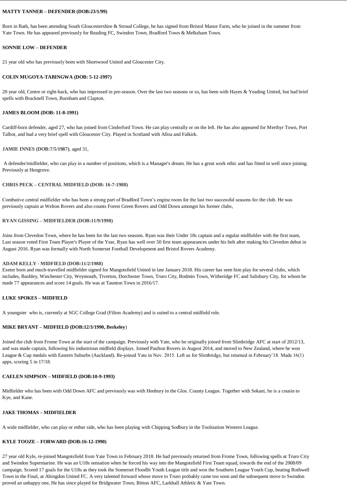#### **MATTY TANNER – DEFENDER (DOB:23/1/99)**

Born in Bath, has been attending South Gloucestershire & Stroud College, he has signed from Bristol Manor Farm, who he joined in the summer from Yate Town. He has appeared previously for Reading FC, Swindon Town, Bradford Town & Melksham Town.

#### **SONNIE LOW – DEFENDER**

21 year old who has previously been with Shortwood United and Gloucester City.

#### **COLIN MUGOYA-TABINGWA (DOB: 5-12-1997)**

20 year old, Centre or right-back, who has impressed in pre-season. Over the last two seasons or so, has been with Hayes & Yeading United, but had brief spells with Bracknell Town, Burnham and Clapton.

#### **JAMES BLOOM (DOB: 11-8-1991)**

Cardiff-born defender, aged 27, who has joined from Cinderford Town. He can play centrally or on the left. He has also appeared for Merthyr Town, Port Talbot, and had a very brief spell with Gloucester City. Played in Scotland with Alloa and Falkirk.

#### **JAMIE INNES (DOB:7/5/1987)**, aged 31,

A defender/midfielder, who can play in a number of positions, which is a Manager's dream. He has a great work ethic and has fitted in well since joining. Previously at Hengrove.

#### **CHRIS PECK – CENTRAL MIDFIELD (DOB: 16-7-1988)**

Combative central midfielder who has been a strong part of Bradford Town's engine room for the last two successful seasons for the club. He was previously captain at Welton Rovers and also counts Forest Green Rovers and Odd Down amongst his former clubs,

#### **RYAN GISSING – MIDFIELDER (DOB:11/9/1998)**

Joins from Clevedon Town, where he has been for the last two seasons. Ryan was their Under 18s captain and a regular midfielder with the first team, Last season voted First Team Player's Player of the Year, Ryan has well over 50 first team appearances under his belt after making his Clevedon debut in August 2016. Ryan was formally with North Somerset Football Development and Bristol Rovers Academy.

#### **ADAM KELLY - MIDFIELD (DOB:11/2/1988)**

Exeter born and much-travelled midfielder signed for Mangotsfield United in late January 2018. His career has seen him play for several clubs, which includes, Bashley, Winchester City, Weymouth, Tiverton, Dorchester Town, Truro City, Bodmin Town, Witheridge FC and Salisbury City, for whom he made 77 appearances and score 14 goals. He was at Taunton Town in 2016/17.

#### **LUKE SPOKES – MIDFIELD**

A youngster who is, currently at SGC College Grad (Filton Academy) and is suited to a central midfield role.

#### **MIKE BRYANT – MIDFIELD (DOB:12/3/1990, Berkeley**)

Joined the club from Frome Town at the start of the campaign. Previously with Yate, who he originally joined from Slimbridge AFC at start of 2012/13, and was made captain, following his industrious midfield displays. Joined Paulton Rovers in August 2014, and moved to New Zealand, where he won League & Cup medals with Eastern Suburbs (Auckland). Re-joined Yate in Nov. 2015. Left us for Slimbridge, but returned in February'18. Made 16(1) apps, scoring 5 in 17/18.

#### **CAELEN SIMPSON – MIDFIELD (DOB:10-9-1993)**

Midfielder who has been with Odd Down AFC and previously was with Henbury in the Glos. County League. Together with Sekani, he is a cousin to Kye, and Kane.

#### **JAKE THOMAS – MIDFIELDER**

A wide midfielder, who can play or either side, who has been playing with Chipping Sodbury in the Toolstation Western League.

#### **KYLE TOOZE – FORWARD (DOB:16-12-1990)**

27 year old Kyle, re-joined Mangotsfield from Yate Town in February 2018. He had previously returned from Frome Town, following spells at Truro City and Swindon Supermarine. He was an U18s sensation when he forced his way into the Mangotsfield First Team squad, towards the end of the 2008/09 campaign. Scored 17 goals for the U18s as they took the Somerset Floodlit Youth League title and won the Southern League Youth Cup, beating Rothwell Town in the Final, at Abingdon United FC. A very talented forward whose move to Truro probably came too soon and the subsequent move to Swindon proved an unhappy one, He has since played for Bridgwater Town, Bitton AFC, Larkhall Athletic & Yate Town.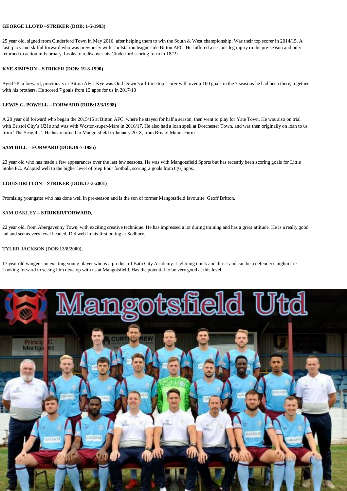#### **GEORGE LLOYD –STRIKER (DOB: 1-5-1993)**

25 year old, signed from Cinderford Town in May 2016, after helping them to win the South & West championship. Was their top scorer in 2014/15. A fast, pacy and skilful forward who was previously with Toolstation league side Bitton AFC. He suffered a serious leg injury in the pre-season and only returned to action in February. Looks to rediscover his Cinderford scoring form in 18/19.

#### **KYE SIMPSON – STRIKER (DOB: 19-8-1990)**

Aged 28, a forward, previously at Bitton AFC. Kye was Odd Down's all-time top scorer with over a 100 goals in the 7 seasons he had been there, together with his brothers. He scored 7 goals from 13 apps for us in 2017/18

#### **LEWIS G. POWELL – FORWARD (DOB:12/3/1998)**

A 20 year old forward who began the 2015/16 at Bitton AFC, where he stayed for half a season, then went to play for Yate Town. He was also on trial with Bristol City's U21s and was with Weston-super-Mare in 2016/17. He also had a loan spell at Dorchester Town, and was then originally on loan to us from 'The Seagulls'. He has returned to Mangotsfield in January 2018, from Bristol Manor Farm.

#### **SAM HILL – FORWARD (DOB:19-7-1995)**

23 year old who has made a few appearances over the last few seasons. He was with Mangotsfield Sports but has recently been scoring goals for Little Stoke FC. Adapted well to the higher level of Step Four football, scoring 2 goals from 8(6) apps.

#### **LOUIS BRITTON – STRIKER (DOB:17-3-2001)**

Promising youngster who has done well in pre-season and is the son of former Mangotsfield favourite, Geoff Britton.

#### **SAM OAKLEY – STRIKER/FORWARD,**

22 year old, from Abergavenny Town, with exciting creative technique. He has impressed a lot during training and has a great attitude. He is a really good lad and seems very level headed. Did well in his first outing at Sodbury.

#### **TYLER JACKSON (DOB:13/8/2000)**,

17 year old winger - an exciting young player who is a product of Bath City Academy. Lightning quick and direct and can be a defender's nightmare. Looking forward to seeing him develop with us at Mangotsfield. Has the potential to be very good at this level.